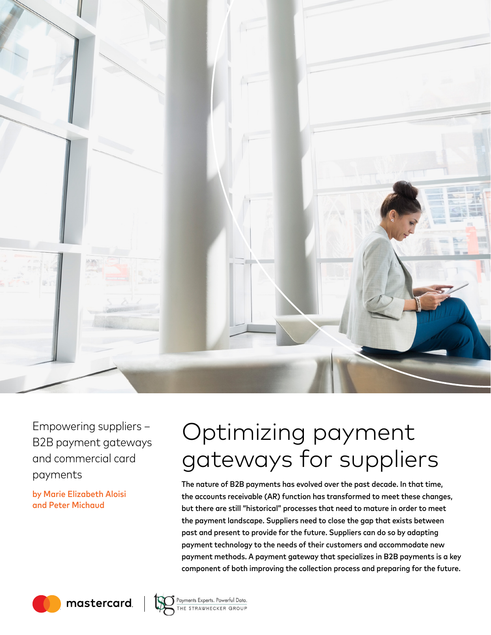

Empowering suppliers – B2B payment gateways and commercial card payments

by Marie Elizabeth Aloisi and Peter Michaud

# Optimizing payment gateways for suppliers

The nature of B2B payments has evolved over the past decade. In that time, the accounts receivable (AR) function has transformed to meet these changes, but there are still "historical" processes that need to mature in order to meet the payment landscape. Suppliers need to close the gap that exists between past and present to provide for the future. Suppliers can do so by adapting payment technology to the needs of their customers and accommodate new payment methods. A payment gateway that specializes in B2B payments is a key component of both improving the collection process and preparing for the future.

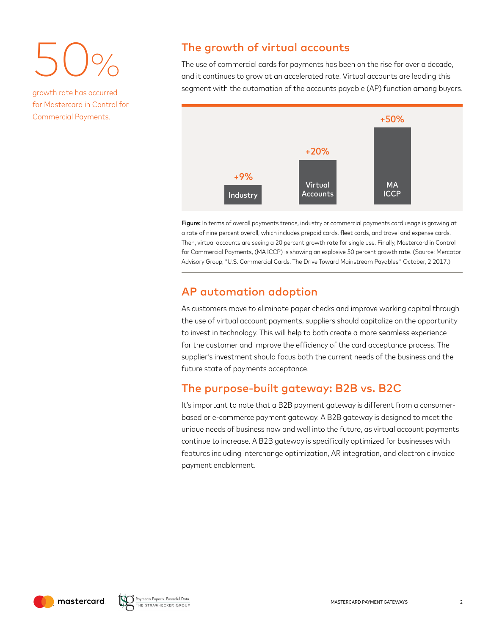50%

growth rate has occurred for Mastercard in Control for Commercial Payments.

# The growth of virtual accounts

The use of commercial cards for payments has been on the rise for over a decade, and it continues to grow at an accelerated rate. Virtual accounts are leading this segment with the automation of the accounts payable (AP) function among buyers.



Figure: In terms of overall payments trends, industry or commercial payments card usage is growing at a rate of nine percent overall, which includes prepaid cards, fleet cards, and travel and expense cards. Then, virtual accounts are seeing a 20 percent growth rate for single use. Finally, Mastercard in Control for Commercial Payments, (MA ICCP) is showing an explosive 50 percent growth rate. (Source: Mercator Advisory Group, "U.S. Commercial Cards: The Drive Toward Mainstream Payables," October, 2 2017.)

## AP automation adoption

As customers move to eliminate paper checks and improve working capital through the use of virtual account payments, suppliers should capitalize on the opportunity to invest in technology. This will help to both create a more seamless experience for the customer and improve the efficiency of the card acceptance process. The supplier's investment should focus both the current needs of the business and the future state of payments acceptance.

# The purpose-built gateway: B2B vs. B2C

It's important to note that a B2B payment gateway is different from a consumerbased or e-commerce payment gateway. A B2B gateway is designed to meet the unique needs of business now and well into the future, as virtual account payments continue to increase. A B2B gateway is specifically optimized for businesses with features including interchange optimization, AR integration, and electronic invoice payment enablement.

mastercard

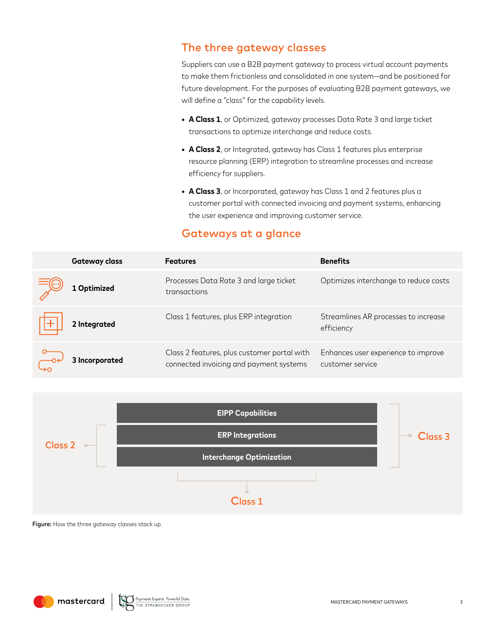# The three gateway classes

Suppliers can use a B2B payment gateway to process virtual account payments to make them frictionless and consolidated in one system—and be positioned for future development. For the purposes of evaluating B2B payment gateways, we will define a "class" for the capability levels.

- **• A Class 1**, or Optimized, gateway processes Data Rate 3 and large ticket transactions to optimize interchange and reduce costs.
- **A Class 2**, or Integrated, gateway has Class 1 features plus enterprise resource planning (ERP) integration to streamline processes and increase efficiency for suppliers.
- **• A Class 3**, or Incorporated, gateway has Class 1 and 2 features plus a customer portal with connected invoicing and payment systems, enhancing the user experience and improving customer service.

# Gateways at a glance

| <b>Gateway class</b> | <b>Features</b>                                                                        | <b>Benefits</b>                                         |
|----------------------|----------------------------------------------------------------------------------------|---------------------------------------------------------|
| 1 Optimized          | Processes Data Rate 3 and large ticket<br>transactions                                 | Optimizes interchange to reduce costs                   |
| 2 Integrated         | Class 1 features, plus ERP integration                                                 | Streamlines AR processes to increase<br>efficiency      |
| 3 Incorporated       | Class 2 features, plus customer portal with<br>connected invoicing and payment systems | Enhances user experience to improve<br>customer service |



Figure: How the three gateway classes stack up.

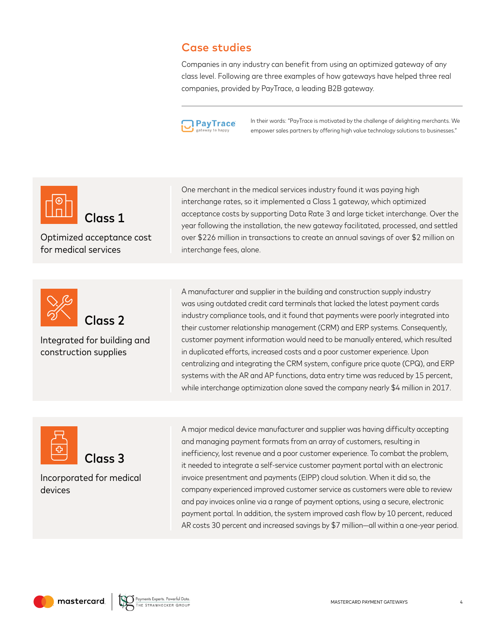# Case studies

Companies in any industry can benefit from using an optimized gateway of any class level. Following are three examples of how gateways have helped three real companies, provided by PayTrace, a leading B2B gateway.



In their words: "PayTrace is motivated by the challenge of delighting merchants. We empower sales partners by offering high value technology solutions to businesses."



Optimized acceptance cost for medical services



Integrated for building and construction supplies

One merchant in the medical services industry found it was paying high interchange rates, so it implemented a Class 1 gateway, which optimized acceptance costs by supporting Data Rate 3 and large ticket interchange. Over the year following the installation, the new gateway facilitated, processed, and settled over \$226 million in transactions to create an annual savings of over \$2 million on interchange fees, alone.

A manufacturer and supplier in the building and construction supply industry was using outdated credit card terminals that lacked the latest payment cards industry compliance tools, and it found that payments were poorly integrated into their customer relationship management (CRM) and ERP systems. Consequently, customer payment information would need to be manually entered, which resulted in duplicated efforts, increased costs and a poor customer experience. Upon centralizing and integrating the CRM system, configure price quote (CPQ), and ERP systems with the AR and AP functions, data entry time was reduced by 15 percent, while interchange optimization alone saved the company nearly \$4 million in 2017.





Incorporated for medical devices

A major medical device manufacturer and supplier was having difficulty accepting and managing payment formats from an array of customers, resulting in inefficiency, lost revenue and a poor customer experience. To combat the problem, it needed to integrate a self-service customer payment portal with an electronic invoice presentment and payments (EIPP) cloud solution. When it did so, the company experienced improved customer service as customers were able to review and pay invoices online via a range of payment options, using a secure, electronic payment portal. In addition, the system improved cash flow by 10 percent, reduced AR costs 30 percent and increased savings by \$7 million—all within a one-year period.

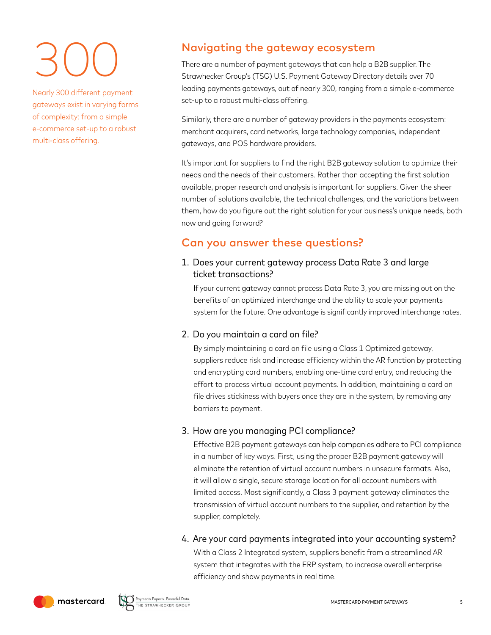# 300

Nearly 300 different payment gateways exist in varying forms of complexity: from a simple e-commerce set-up to a robust multi-class offering.

# Navigating the gateway ecosystem

There are a number of payment gateways that can help a B2B supplier. The Strawhecker Group's (TSG) U.S. Payment Gateway Directory details over 70 leading payments gateways, out of nearly 300, ranging from a simple e-commerce set-up to a robust multi-class offering.

Similarly, there are a number of gateway providers in the payments ecosystem: merchant acquirers, card networks, large technology companies, independent gateways, and POS hardware providers.

It's important for suppliers to find the right B2B gateway solution to optimize their needs and the needs of their customers. Rather than accepting the first solution available, proper research and analysis is important for suppliers. Given the sheer number of solutions available, the technical challenges, and the variations between them, how do you figure out the right solution for your business's unique needs, both now and going forward?

# Can you answer these questions?

#### 1. Does your current gateway process Data Rate 3 and large ticket transactions?

If your current gateway cannot process Data Rate 3, you are missing out on the benefits of an optimized interchange and the ability to scale your payments system for the future. One advantage is significantly improved interchange rates.

#### 2. Do you maintain a card on file?

By simply maintaining a card on file using a Class 1 Optimized gateway, suppliers reduce risk and increase efficiency within the AR function by protecting and encrypting card numbers, enabling one-time card entry, and reducing the effort to process virtual account payments. In addition, maintaining a card on file drives stickiness with buyers once they are in the system, by removing any barriers to payment.

#### 3. How are you managing PCI compliance?

Effective B2B payment gateways can help companies adhere to PCI compliance in a number of key ways. First, using the proper B2B payment gateway will eliminate the retention of virtual account numbers in unsecure formats. Also, it will allow a single, secure storage location for all account numbers with limited access. Most significantly, a Class 3 payment gateway eliminates the transmission of virtual account numbers to the supplier, and retention by the supplier, completely.

#### 4. Are your card payments integrated into your accounting system? With a Class 2 Integrated system, suppliers benefit from a streamlined AR system that integrates with the ERP system, to increase overall enterprise efficiency and show payments in real time.

mastercard